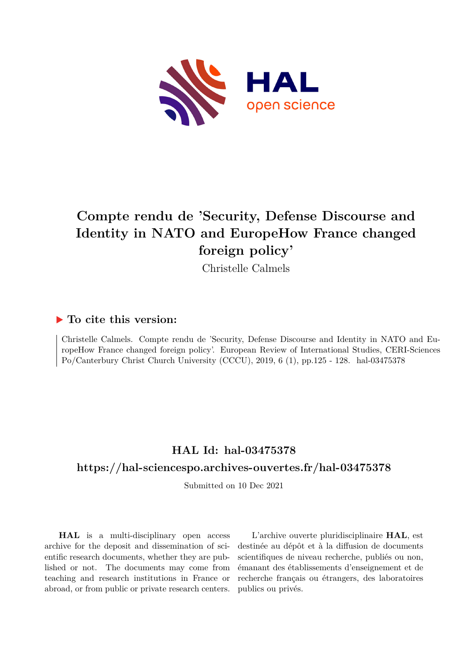

## **Compte rendu de 'Security, Defense Discourse and Identity in NATO and EuropeHow France changed foreign policy'**

Christelle Calmels

### **To cite this version:**

Christelle Calmels. Compte rendu de 'Security, Defense Discourse and Identity in NATO and EuropeHow France changed foreign policy'. European Review of International Studies, CERI-Sciences Po/Canterbury Christ Church University (CCCU), 2019, 6 (1), pp.125 - 128. hal-03475378

# **HAL Id: hal-03475378**

#### **<https://hal-sciencespo.archives-ouvertes.fr/hal-03475378>**

Submitted on 10 Dec 2021

**HAL** is a multi-disciplinary open access archive for the deposit and dissemination of scientific research documents, whether they are published or not. The documents may come from teaching and research institutions in France or abroad, or from public or private research centers.

L'archive ouverte pluridisciplinaire **HAL**, est destinée au dépôt et à la diffusion de documents scientifiques de niveau recherche, publiés ou non, émanant des établissements d'enseignement et de recherche français ou étrangers, des laboratoires publics ou privés.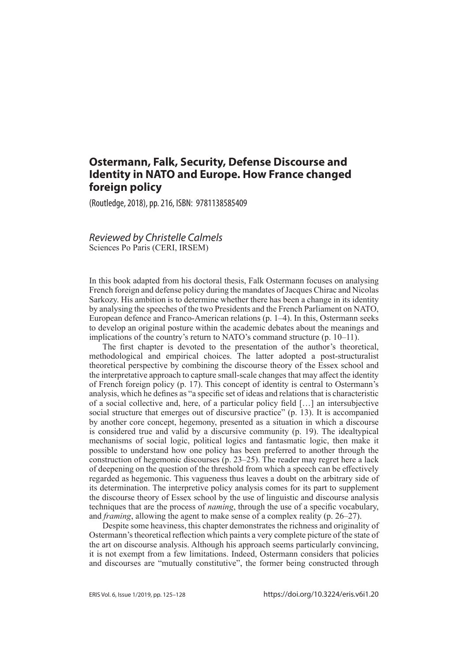### **Ostermann, Falk, Security, Defense Discourse and Identity in NATO and Europe. How France changed foreign policy**

(Routledge, 2018), pp. 216, ISBN: 9781138585409

#### *Reviewed by Christelle Calmels*  Sciences Po Paris (CERI, IRSEM)

In this book adapted from his doctoral thesis, Falk Ostermann focuses on analysing French foreign and defense policy during the mandates of Jacques Chirac and Nicolas Sarkozy. His ambition is to determine whether there has been a change in its identity by analysing the speeches of the two Presidents and the French Parliament on NATO, European defence and Franco-American relations (p. 1–4). In this, Ostermann seeks to develop an original posture within the academic debates about the meanings and implications of the country's return to NATO's command structure (p. 10–11).

The first chapter is devoted to the presentation of the author's theoretical, methodological and empirical choices. The latter adopted a post-structuralist theoretical perspective by combining the discourse theory of the Essex school and the interpretative approach to capture small-scale changes that may affect the identity of French foreign policy (p. 17). This concept of identity is central to Ostermann's analysis, which he defines as "a specific set of ideas and relations that is characteristic of a social collective and, here, of a particular policy field […] an intersubjective social structure that emerges out of discursive practice" (p. 13). It is accompanied by another core concept, hegemony, presented as a situation in which a discourse is considered true and valid by a discursive community (p. 19). The idealtypical mechanisms of social logic, political logics and fantasmatic logic, then make it possible to understand how one policy has been preferred to another through the construction of hegemonic discourses (p. 23–25). The reader may regret here a lack of deepening on the question of the threshold from which a speech can be effectively regarded as hegemonic. This vagueness thus leaves a doubt on the arbitrary side of its determination. The interpretive policy analysis comes for its part to supplement the discourse theory of Essex school by the use of linguistic and discourse analysis techniques that are the process of *naming*, through the use of a specific vocabulary, and *framing*, allowing the agent to make sense of a complex reality (p. 26–27).

Despite some heaviness, this chapter demonstrates the richness and originality of Ostermann's theoretical reflection which paints a very complete picture of the state of the art on discourse analysis. Although his approach seems particularly convincing, it is not exempt from a few limitations. Indeed, Ostermann considers that policies and discourses are "mutually constitutive", the former being constructed through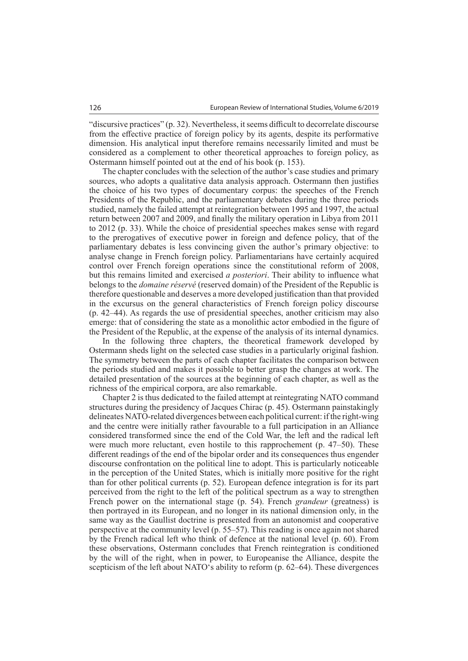"discursive practices" (p. 32). Nevertheless, it seems difficult to decorrelate discourse from the effective practice of foreign policy by its agents, despite its performative dimension. His analytical input therefore remains necessarily limited and must be considered as a complement to other theoretical approaches to foreign policy, as Ostermann himself pointed out at the end of his book (p. 153).

The chapter concludes with the selection of the author's case studies and primary sources, who adopts a qualitative data analysis approach. Ostermann then justifies the choice of his two types of documentary corpus: the speeches of the French Presidents of the Republic, and the parliamentary debates during the three periods studied, namely the failed attempt at reintegration between 1995 and 1997, the actual return between 2007 and 2009, and finally the military operation in Libya from 2011 to 2012 (p. 33). While the choice of presidential speeches makes sense with regard to the prerogatives of executive power in foreign and defence policy, that of the parliamentary debates is less convincing given the author's primary objective: to analyse change in French foreign policy. Parliamentarians have certainly acquired control over French foreign operations since the constitutional reform of 2008, but this remains limited and exercised *a posteriori*. Their ability to influence what belongs to the *domaine réservé* (reserved domain) of the President of the Republic is therefore questionable and deserves a more developed justification than that provided in the excursus on the general characteristics of French foreign policy discourse (p. 42–44). As regards the use of presidential speeches, another criticism may also emerge: that of considering the state as a monolithic actor embodied in the figure of the President of the Republic, at the expense of the analysis of its internal dynamics.

In the following three chapters, the theoretical framework developed by Ostermann sheds light on the selected case studies in a particularly original fashion. The symmetry between the parts of each chapter facilitates the comparison between the periods studied and makes it possible to better grasp the changes at work. The detailed presentation of the sources at the beginning of each chapter, as well as the richness of the empirical corpora, are also remarkable.

Chapter 2 is thus dedicated to the failed attempt at reintegrating NATO command structures during the presidency of Jacques Chirac (p. 45). Ostermann painstakingly delineates NATO-related divergences between each political current: if the right-wing and the centre were initially rather favourable to a full participation in an Alliance considered transformed since the end of the Cold War, the left and the radical left were much more reluctant, even hostile to this rapprochement (p. 47–50). These different readings of the end of the bipolar order and its consequences thus engender discourse confrontation on the political line to adopt. This is particularly noticeable in the perception of the United States, which is initially more positive for the right than for other political currents (p. 52). European defence integration is for its part perceived from the right to the left of the political spectrum as a way to strengthen French power on the international stage (p. 54). French *grandeur* (greatness) is then portrayed in its European, and no longer in its national dimension only, in the same way as the Gaullist doctrine is presented from an autonomist and cooperative perspective at the community level (p. 55–57). This reading is once again not shared by the French radical left who think of defence at the national level (p. 60). From these observations, Ostermann concludes that French reintegration is conditioned by the will of the right, when in power, to Europeanise the Alliance, despite the scepticism of the left about NATO's ability to reform (p. 62–64). These divergences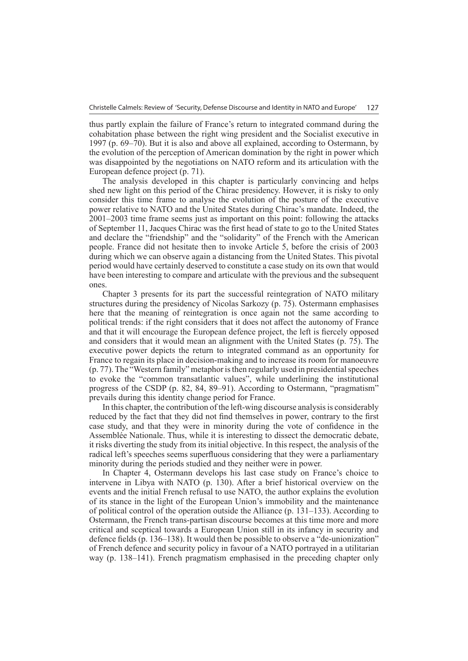thus partly explain the failure of France's return to integrated command during the cohabitation phase between the right wing president and the Socialist executive in 1997 (p. 69–70). But it is also and above all explained, according to Ostermann, by the evolution of the perception of American domination by the right in power which was disappointed by the negotiations on NATO reform and its articulation with the European defence project (p. 71).

The analysis developed in this chapter is particularly convincing and helps shed new light on this period of the Chirac presidency. However, it is risky to only consider this time frame to analyse the evolution of the posture of the executive power relative to NATO and the United States during Chirac's mandate. Indeed, the 2001–2003 time frame seems just as important on this point: following the attacks of September 11, Jacques Chirac was the first head of state to go to the United States and declare the "friendship" and the "solidarity" of the French with the American people. France did not hesitate then to invoke Article 5, before the crisis of 2003 during which we can observe again a distancing from the United States. This pivotal period would have certainly deserved to constitute a case study on its own that would have been interesting to compare and articulate with the previous and the subsequent ones.

Chapter 3 presents for its part the successful reintegration of NATO military structures during the presidency of Nicolas Sarkozy (p. 75). Ostermann emphasises here that the meaning of reintegration is once again not the same according to political trends: if the right considers that it does not affect the autonomy of France and that it will encourage the European defence project, the left is fiercely opposed and considers that it would mean an alignment with the United States (p. 75). The executive power depicts the return to integrated command as an opportunity for France to regain its place in decision-making and to increase its room for manoeuvre (p. 77). The "Western family" metaphor is then regularly used in presidential speeches to evoke the "common transatlantic values", while underlining the institutional progress of the CSDP (p. 82, 84, 89–91). According to Ostermann, "pragmatism" prevails during this identity change period for France.

In this chapter, the contribution of the left-wing discourse analysis is considerably reduced by the fact that they did not find themselves in power, contrary to the first case study, and that they were in minority during the vote of confidence in the Assemblée Nationale. Thus, while it is interesting to dissect the democratic debate, it risks diverting the study from its initial objective. In this respect, the analysis of the radical left's speeches seems superfluous considering that they were a parliamentary minority during the periods studied and they neither were in power.

In Chapter 4, Ostermann develops his last case study on France's choice to intervene in Libya with NATO (p. 130). After a brief historical overview on the events and the initial French refusal to use NATO, the author explains the evolution of its stance in the light of the European Union's immobility and the maintenance of political control of the operation outside the Alliance (p. 131–133). According to Ostermann, the French trans-partisan discourse becomes at this time more and more critical and sceptical towards a European Union still in its infancy in security and defence fields (p. 136–138). It would then be possible to observe a "de-unionization" of French defence and security policy in favour of a NATO portrayed in a utilitarian way (p. 138–141). French pragmatism emphasised in the preceding chapter only